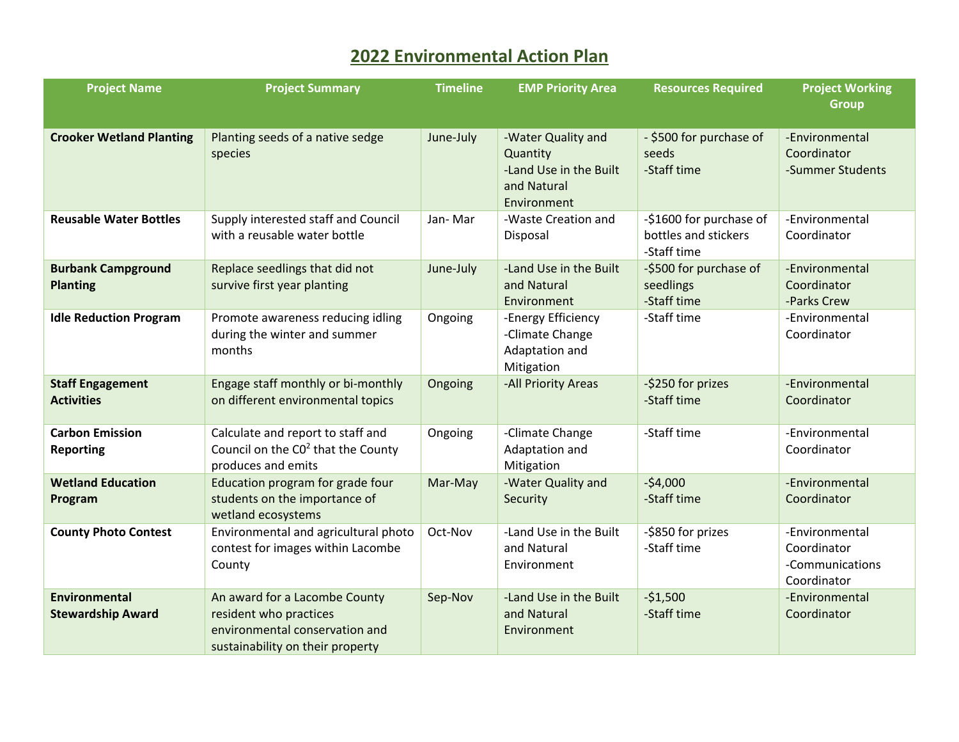## **2022 Environmental Action Plan**

| <b>Project Name</b>                              | <b>Project Summary</b>                                                                                                        | <b>Timeline</b> | <b>EMP Priority Area</b>                                                               | <b>Resources Required</b>                                      | <b>Project Working</b>                                          |
|--------------------------------------------------|-------------------------------------------------------------------------------------------------------------------------------|-----------------|----------------------------------------------------------------------------------------|----------------------------------------------------------------|-----------------------------------------------------------------|
|                                                  |                                                                                                                               |                 |                                                                                        |                                                                | <b>Group</b>                                                    |
| <b>Crooker Wetland Planting</b>                  | Planting seeds of a native sedge<br>species                                                                                   | June-July       | -Water Quality and<br>Quantity<br>-Land Use in the Built<br>and Natural<br>Environment | - \$500 for purchase of<br>seeds<br>-Staff time                | -Environmental<br>Coordinator<br>-Summer Students               |
| <b>Reusable Water Bottles</b>                    | Supply interested staff and Council<br>with a reusable water bottle                                                           | Jan-Mar         | -Waste Creation and<br>Disposal                                                        | -\$1600 for purchase of<br>bottles and stickers<br>-Staff time | -Environmental<br>Coordinator                                   |
| <b>Burbank Campground</b><br><b>Planting</b>     | Replace seedlings that did not<br>survive first year planting                                                                 | June-July       | -Land Use in the Built<br>and Natural<br>Environment                                   | -\$500 for purchase of<br>seedlings<br>-Staff time             | -Environmental<br>Coordinator<br>-Parks Crew                    |
| <b>Idle Reduction Program</b>                    | Promote awareness reducing idling<br>during the winter and summer<br>months                                                   | Ongoing         | -Energy Efficiency<br>-Climate Change<br>Adaptation and<br>Mitigation                  | -Staff time                                                    | -Environmental<br>Coordinator                                   |
| <b>Staff Engagement</b><br><b>Activities</b>     | Engage staff monthly or bi-monthly<br>on different environmental topics                                                       | Ongoing         | -All Priority Areas                                                                    | -\$250 for prizes<br>-Staff time                               | -Environmental<br>Coordinator                                   |
| <b>Carbon Emission</b><br><b>Reporting</b>       | Calculate and report to staff and<br>Council on the CO <sup>2</sup> that the County<br>produces and emits                     | Ongoing         | -Climate Change<br>Adaptation and<br>Mitigation                                        | -Staff time                                                    | -Environmental<br>Coordinator                                   |
| <b>Wetland Education</b><br>Program              | Education program for grade four<br>students on the importance of<br>wetland ecosystems                                       | Mar-May         | -Water Quality and<br>Security                                                         | $-54,000$<br>-Staff time                                       | -Environmental<br>Coordinator                                   |
| <b>County Photo Contest</b>                      | Environmental and agricultural photo<br>contest for images within Lacombe<br>County                                           | Oct-Nov         | -Land Use in the Built<br>and Natural<br>Environment                                   | -\$850 for prizes<br>-Staff time                               | -Environmental<br>Coordinator<br>-Communications<br>Coordinator |
| <b>Environmental</b><br><b>Stewardship Award</b> | An award for a Lacombe County<br>resident who practices<br>environmental conservation and<br>sustainability on their property | Sep-Nov         | -Land Use in the Built<br>and Natural<br>Environment                                   | $-51,500$<br>-Staff time                                       | -Environmental<br>Coordinator                                   |